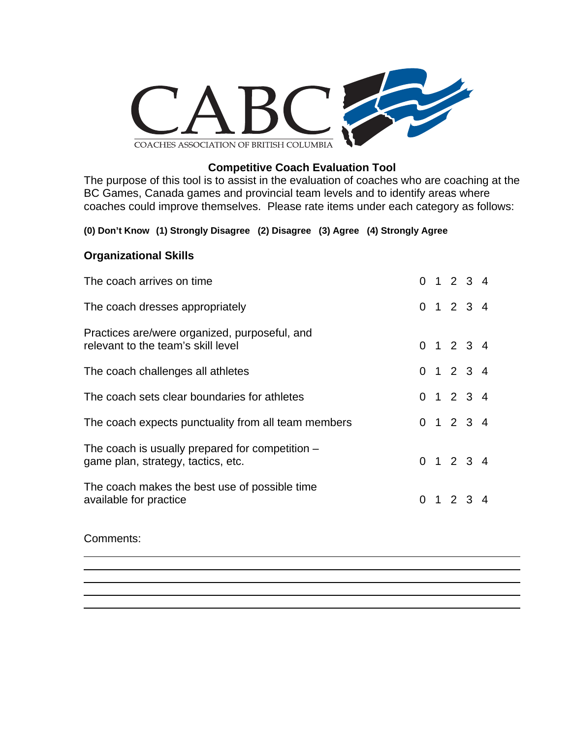

## **Competitive Coach Evaluation Tool**

The purpose of this tool is to assist in the evaluation of coaches who are coaching at the BC Games, Canada games and provincial team levels and to identify areas where coaches could improve themselves. Please rate items under each category as follows:

#### **(0) Don't Know (1) Strongly Disagree (2) Disagree (3) Agree (4) Strongly Agree**

## **Organizational Skills**

| The coach arrives on time                                                               |  | $0 \t1 \t2 \t3 \t4$ |  |
|-----------------------------------------------------------------------------------------|--|---------------------|--|
| The coach dresses appropriately                                                         |  | 0 1 2 3 4           |  |
| Practices are/were organized, purposeful, and<br>relevant to the team's skill level     |  | $0 \t1 \t2 \t3 \t4$ |  |
| The coach challenges all athletes                                                       |  | $0 \t1 \t2 \t3 \t4$ |  |
| The coach sets clear boundaries for athletes                                            |  | 0 1 2 3 4           |  |
| The coach expects punctuality from all team members                                     |  | $0 \t1 \t2 \t3 \t4$ |  |
| The coach is usually prepared for competition $-$<br>game plan, strategy, tactics, etc. |  | $0 \t1 \t2 \t3 \t4$ |  |
| The coach makes the best use of possible time<br>available for practice                 |  | 0, 1, 2, 3, 4       |  |

#### Comments:

 $\overline{a}$ 

 $\overline{a}$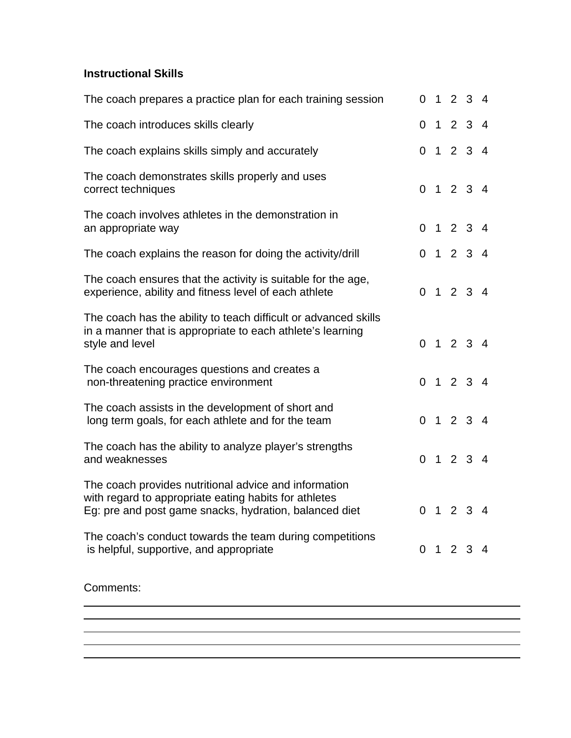## **Instructional Skills**

| The coach prepares a practice plan for each training session                                                                                                             |  |                 | 0 1 2 3 4           |   |
|--------------------------------------------------------------------------------------------------------------------------------------------------------------------------|--|-----------------|---------------------|---|
| The coach introduces skills clearly                                                                                                                                      |  |                 | 0 1 2 3 4           |   |
| The coach explains skills simply and accurately                                                                                                                          |  |                 | 0 1 2 3 4           |   |
| The coach demonstrates skills properly and uses<br>correct techniques                                                                                                    |  |                 | 0 1 2 3 4           |   |
| The coach involves athletes in the demonstration in<br>an appropriate way                                                                                                |  |                 | 0 1 2 3 4           |   |
| The coach explains the reason for doing the activity/drill                                                                                                               |  |                 | 0 1 2 3 4           |   |
| The coach ensures that the activity is suitable for the age,<br>experience, ability and fitness level of each athlete                                                    |  |                 | $0 \t1 \t2 \t3 \t4$ |   |
| The coach has the ability to teach difficult or advanced skills<br>in a manner that is appropriate to each athlete's learning<br>style and level                         |  |                 | 0 1 2 3 4           |   |
| The coach encourages questions and creates a<br>non-threatening practice environment                                                                                     |  |                 | 0 1 2 3 4           |   |
| The coach assists in the development of short and<br>long term goals, for each athlete and for the team                                                                  |  |                 | 0 1 2 3 4           |   |
| The coach has the ability to analyze player's strengths<br>and weaknesses                                                                                                |  |                 | 0 1 2 3 4           |   |
| The coach provides nutritional advice and information<br>with regard to appropriate eating habits for athletes<br>Eg: pre and post game snacks, hydration, balanced diet |  |                 | 0 1 2 3 4           |   |
| The coach's conduct towards the team during competitions<br>is helpful, supportive, and appropriate                                                                      |  | $0 \t1 \t2 \t3$ |                     | 4 |
|                                                                                                                                                                          |  |                 |                     |   |

<u> 1989 - Andrea Santa Alemania, amerikana amerikana amerikana amerikana amerikana amerikana amerikana amerikan</u>

## Comments:

 $\overline{a}$  $\overline{a}$ 

 $\overline{a}$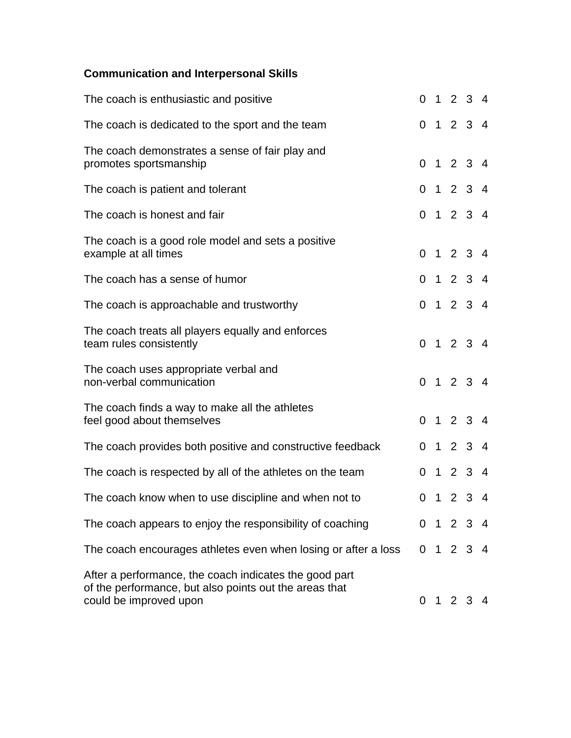# **Communication and Interpersonal Skills**

| The coach is enthusiastic and positive                                                                                                     |          |  | 0 1 2 3 4 |  |
|--------------------------------------------------------------------------------------------------------------------------------------------|----------|--|-----------|--|
| The coach is dedicated to the sport and the team                                                                                           |          |  | 0 1 2 3 4 |  |
| The coach demonstrates a sense of fair play and<br>promotes sportsmanship                                                                  |          |  | 0 1 2 3 4 |  |
| The coach is patient and tolerant                                                                                                          |          |  | 0 1 2 3 4 |  |
| The coach is honest and fair                                                                                                               |          |  | 0 1 2 3 4 |  |
| The coach is a good role model and sets a positive<br>example at all times                                                                 |          |  | 0 1 2 3 4 |  |
| The coach has a sense of humor                                                                                                             |          |  | 0 1 2 3 4 |  |
| The coach is approachable and trustworthy                                                                                                  |          |  | 0 1 2 3 4 |  |
| The coach treats all players equally and enforces<br>team rules consistently                                                               |          |  | 0 1 2 3 4 |  |
| The coach uses appropriate verbal and<br>non-verbal communication                                                                          |          |  | 0 1 2 3 4 |  |
| The coach finds a way to make all the athletes<br>feel good about themselves                                                               |          |  | 0 1 2 3 4 |  |
| The coach provides both positive and constructive feedback                                                                                 |          |  | 0 1 2 3 4 |  |
| The coach is respected by all of the athletes on the team                                                                                  | $\Omega$ |  | 1234      |  |
| The coach know when to use discipline and when not to                                                                                      |          |  | 0 1 2 3 4 |  |
| The coach appears to enjoy the responsibility of coaching                                                                                  |          |  | 0 1 2 3 4 |  |
| The coach encourages athletes even when losing or after a loss                                                                             |          |  | 0 1 2 3 4 |  |
| After a performance, the coach indicates the good part<br>of the performance, but also points out the areas that<br>could be improved upon |          |  | 0 1 2 3 4 |  |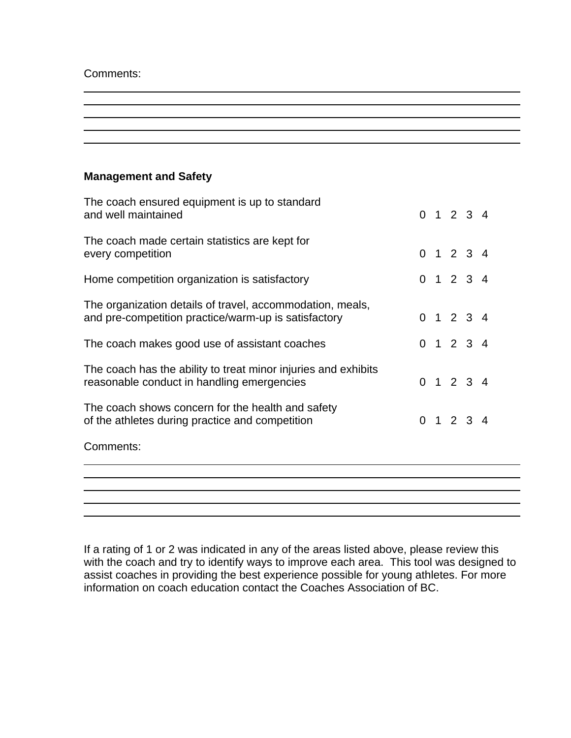Comments:

 $\overline{a}$ 

## **Management and Safety**

| The coach ensured equipment is up to standard<br>and well maintained                                              |  | $0 \t1 \t2 \t3 \t4$ |  |
|-------------------------------------------------------------------------------------------------------------------|--|---------------------|--|
| The coach made certain statistics are kept for<br>every competition                                               |  | 0 1 2 3 4           |  |
| Home competition organization is satisfactory                                                                     |  | 0 1 2 3 4           |  |
| The organization details of travel, accommodation, meals,<br>and pre-competition practice/warm-up is satisfactory |  | 0 1 2 3 4           |  |
| The coach makes good use of assistant coaches                                                                     |  | 0 1 2 3 4           |  |
| The coach has the ability to treat minor injuries and exhibits<br>reasonable conduct in handling emergencies      |  | $0 \t1 \t2 \t3 \t4$ |  |
| The coach shows concern for the health and safety<br>of the athletes during practice and competition              |  | 0 1 2 3 4           |  |
| Comments:                                                                                                         |  |                     |  |
|                                                                                                                   |  |                     |  |
|                                                                                                                   |  |                     |  |

If a rating of 1 or 2 was indicated in any of the areas listed above, please review this with the coach and try to identify ways to improve each area. This tool was designed to assist coaches in providing the best experience possible for young athletes. For more information on coach education contact the Coaches Association of BC.